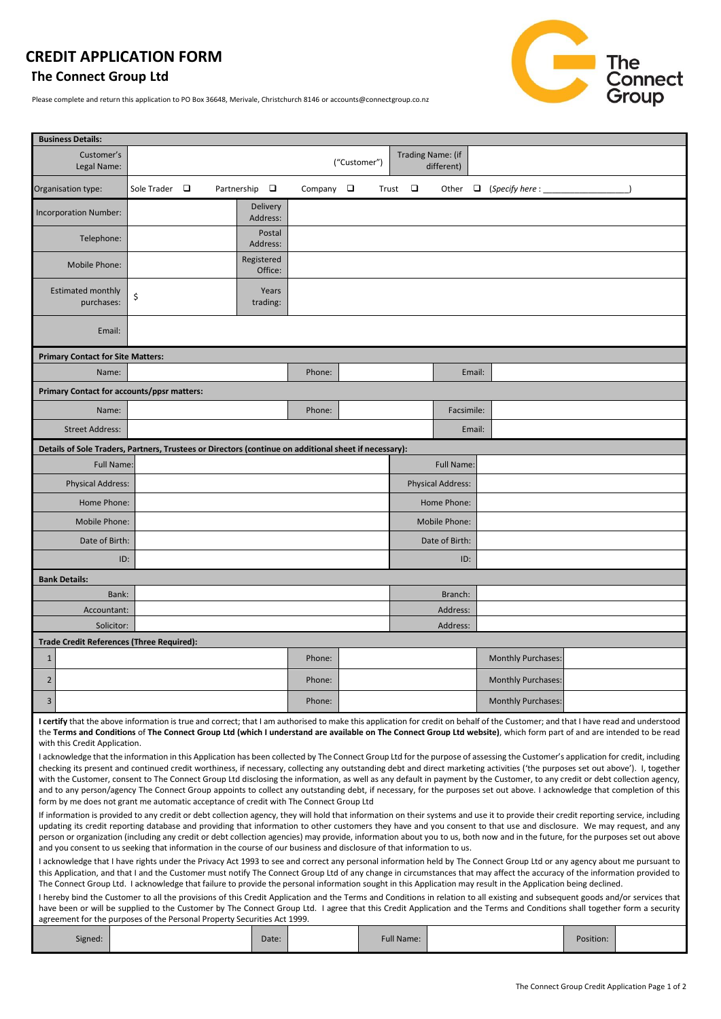# **CREDIT APPLICATION FORM**

# **The Connect Group Ltd**

Please complete and return this application to PO Box 36648, Merivale, Christchurch 8146 or accounts@connectgroup.co.nz



| <b>Business Details:</b>                                                                                                                                                                                                                                                                                                                                                                                                                                                                                                                                                                                                                                                                                                       |                    |  |                       |                       |  |                   |              |                          |               |                                 |            |                               |           |  |
|--------------------------------------------------------------------------------------------------------------------------------------------------------------------------------------------------------------------------------------------------------------------------------------------------------------------------------------------------------------------------------------------------------------------------------------------------------------------------------------------------------------------------------------------------------------------------------------------------------------------------------------------------------------------------------------------------------------------------------|--------------------|--|-----------------------|-----------------------|--|-------------------|--------------|--------------------------|---------------|---------------------------------|------------|-------------------------------|-----------|--|
| Customer's<br>Legal Name:                                                                                                                                                                                                                                                                                                                                                                                                                                                                                                                                                                                                                                                                                                      |                    |  |                       |                       |  |                   | ("Customer") |                          |               | Trading Name: (if<br>different) |            |                               |           |  |
| Organisation type:                                                                                                                                                                                                                                                                                                                                                                                                                                                                                                                                                                                                                                                                                                             | Sole Trader $\Box$ |  | Partnership $\square$ |                       |  | Company $\square$ |              | Trust                    | □             | Other                           |            | $\Box$ (Specify here : $\Box$ |           |  |
| Incorporation Number:                                                                                                                                                                                                                                                                                                                                                                                                                                                                                                                                                                                                                                                                                                          |                    |  |                       | Delivery<br>Address:  |  |                   |              |                          |               |                                 |            |                               |           |  |
| Telephone:                                                                                                                                                                                                                                                                                                                                                                                                                                                                                                                                                                                                                                                                                                                     |                    |  |                       | Postal<br>Address:    |  |                   |              |                          |               |                                 |            |                               |           |  |
| Mobile Phone:                                                                                                                                                                                                                                                                                                                                                                                                                                                                                                                                                                                                                                                                                                                  |                    |  |                       | Registered<br>Office: |  |                   |              |                          |               |                                 |            |                               |           |  |
| <b>Estimated monthly</b><br>purchases:                                                                                                                                                                                                                                                                                                                                                                                                                                                                                                                                                                                                                                                                                         | \$                 |  |                       | Years<br>trading:     |  |                   |              |                          |               |                                 |            |                               |           |  |
| Email:                                                                                                                                                                                                                                                                                                                                                                                                                                                                                                                                                                                                                                                                                                                         |                    |  |                       |                       |  |                   |              |                          |               |                                 |            |                               |           |  |
| <b>Primary Contact for Site Matters:</b>                                                                                                                                                                                                                                                                                                                                                                                                                                                                                                                                                                                                                                                                                       |                    |  |                       |                       |  |                   |              |                          |               |                                 |            |                               |           |  |
| Name:                                                                                                                                                                                                                                                                                                                                                                                                                                                                                                                                                                                                                                                                                                                          |                    |  |                       |                       |  | Phone:            |              |                          |               |                                 | Email:     |                               |           |  |
| Primary Contact for accounts/ppsr matters:                                                                                                                                                                                                                                                                                                                                                                                                                                                                                                                                                                                                                                                                                     |                    |  |                       |                       |  |                   |              |                          |               |                                 |            |                               |           |  |
| Name:                                                                                                                                                                                                                                                                                                                                                                                                                                                                                                                                                                                                                                                                                                                          |                    |  |                       |                       |  | Phone:            |              |                          |               |                                 | Facsimile: |                               |           |  |
| <b>Street Address:</b>                                                                                                                                                                                                                                                                                                                                                                                                                                                                                                                                                                                                                                                                                                         |                    |  |                       |                       |  |                   |              |                          |               |                                 | Email:     |                               |           |  |
| :(Details of Sole Traders, Partners, Trustees or Directors (continue on additional sheet if necessary                                                                                                                                                                                                                                                                                                                                                                                                                                                                                                                                                                                                                          |                    |  |                       |                       |  |                   |              |                          |               |                                 |            |                               |           |  |
| <b>Full Name:</b>                                                                                                                                                                                                                                                                                                                                                                                                                                                                                                                                                                                                                                                                                                              |                    |  |                       |                       |  |                   |              |                          |               | Full Name:                      |            |                               |           |  |
| <b>Physical Address:</b>                                                                                                                                                                                                                                                                                                                                                                                                                                                                                                                                                                                                                                                                                                       |                    |  |                       |                       |  |                   |              | <b>Physical Address:</b> |               |                                 |            |                               |           |  |
| Home Phone:                                                                                                                                                                                                                                                                                                                                                                                                                                                                                                                                                                                                                                                                                                                    |                    |  |                       |                       |  |                   |              |                          |               | Home Phone:                     |            |                               |           |  |
| Mobile Phone:                                                                                                                                                                                                                                                                                                                                                                                                                                                                                                                                                                                                                                                                                                                  |                    |  |                       |                       |  |                   |              |                          | Mobile Phone: |                                 |            |                               |           |  |
| Date of Birth:                                                                                                                                                                                                                                                                                                                                                                                                                                                                                                                                                                                                                                                                                                                 |                    |  |                       |                       |  |                   |              |                          |               | Date of Birth:                  |            |                               |           |  |
| ID:                                                                                                                                                                                                                                                                                                                                                                                                                                                                                                                                                                                                                                                                                                                            |                    |  |                       |                       |  |                   |              |                          |               |                                 | ID:        |                               |           |  |
| <b>Bank Details:</b>                                                                                                                                                                                                                                                                                                                                                                                                                                                                                                                                                                                                                                                                                                           |                    |  |                       |                       |  |                   |              |                          |               |                                 |            |                               |           |  |
| Bank:                                                                                                                                                                                                                                                                                                                                                                                                                                                                                                                                                                                                                                                                                                                          |                    |  |                       |                       |  |                   |              |                          |               | Branch:                         |            |                               |           |  |
| Accountant:                                                                                                                                                                                                                                                                                                                                                                                                                                                                                                                                                                                                                                                                                                                    |                    |  |                       |                       |  |                   |              |                          |               | Address:                        |            |                               |           |  |
| Solicitor:                                                                                                                                                                                                                                                                                                                                                                                                                                                                                                                                                                                                                                                                                                                     |                    |  |                       |                       |  |                   |              |                          |               | Address:                        |            |                               |           |  |
| <b>Trade Credit References (Three Required):</b>                                                                                                                                                                                                                                                                                                                                                                                                                                                                                                                                                                                                                                                                               |                    |  |                       |                       |  |                   |              |                          |               |                                 |            |                               |           |  |
| $\mathbf{1}$                                                                                                                                                                                                                                                                                                                                                                                                                                                                                                                                                                                                                                                                                                                   |                    |  |                       |                       |  | Phone:            |              |                          |               |                                 |            | <b>Monthly Purchases:</b>     |           |  |
| $\overline{2}$                                                                                                                                                                                                                                                                                                                                                                                                                                                                                                                                                                                                                                                                                                                 |                    |  |                       |                       |  | Phone:            |              |                          |               |                                 |            | <b>Monthly Purchases:</b>     |           |  |
| 3                                                                                                                                                                                                                                                                                                                                                                                                                                                                                                                                                                                                                                                                                                                              |                    |  |                       |                       |  | Phone:            |              |                          |               |                                 |            | <b>Monthly Purchases:</b>     |           |  |
| I certify that the above information is true and correct; that I am authorised to make this application for credit on behalf of the Customer; and that I have read and understood<br>the Terms and Conditions of The Connect Group Ltd (which I understand are available on The Connect Group Ltd website), which form part of and are intended to be read<br>with this Credit Application.                                                                                                                                                                                                                                                                                                                                    |                    |  |                       |                       |  |                   |              |                          |               |                                 |            |                               |           |  |
| I acknowledge that the information in this Application has been collected by The Connect Group Ltd for the purpose of assessing the Customer's application for credit, including<br>checking its present and continued credit worthiness, if necessary, collecting any outstanding debt and direct marketing activities ('the purposes set out above'). I, together<br>with the Customer, consent to The Connect Group Ltd disclosing the information, as well as any default in payment by the Customer, to any credit or debt collection agency,<br>and to any person/agency The Connect Group appoints to collect any outstanding debt, if necessary, for the purposes set out above. I acknowledge that completion of this |                    |  |                       |                       |  |                   |              |                          |               |                                 |            |                               |           |  |
| form by me does not grant me automatic acceptance of credit with The Connect Group Ltd<br>If information is provided to any credit or debt collection agency, they will hold that information on their systems and use it to provide their credit reporting service, including                                                                                                                                                                                                                                                                                                                                                                                                                                                 |                    |  |                       |                       |  |                   |              |                          |               |                                 |            |                               |           |  |
| updating its credit reporting database and providing that information to other customers they have and you consent to that use and disclosure. We may request, and any<br>person or organization (including any credit or debt collection agencies) may provide, information about you to us, both now and in the future, for the purposes set out above<br>and you consent to us seeking that information in the course of our business and disclosure of that information to us.                                                                                                                                                                                                                                             |                    |  |                       |                       |  |                   |              |                          |               |                                 |            |                               |           |  |
| I acknowledge that I have rights under the Privacy Act 1993 to see and correct any personal information held by The Connect Group Ltd or any agency about me pursuant to<br>this Application, and that I and the Customer must notify The Connect Group Ltd of any change in circumstances that may affect the accuracy of the information provided to                                                                                                                                                                                                                                                                                                                                                                         |                    |  |                       |                       |  |                   |              |                          |               |                                 |            |                               |           |  |
| The Connect Group Ltd. I acknowledge that failure to provide the personal information sought in this Application may result in the Application being declined.                                                                                                                                                                                                                                                                                                                                                                                                                                                                                                                                                                 |                    |  |                       |                       |  |                   |              |                          |               |                                 |            |                               |           |  |
| I hereby bind the Customer to all the provisions of this Credit Application and the Terms and Conditions in relation to all existing and subsequent goods and/or services that<br>have been or will be supplied to the Customer by The Connect Group Ltd. I agree that this Credit Application and the Terms and Conditions shall together form a security<br>agreement for the purposes of the Personal Property Securities Act 1999.                                                                                                                                                                                                                                                                                         |                    |  |                       |                       |  |                   |              |                          |               |                                 |            |                               |           |  |
|                                                                                                                                                                                                                                                                                                                                                                                                                                                                                                                                                                                                                                                                                                                                |                    |  |                       |                       |  |                   |              |                          |               |                                 |            |                               |           |  |
| Signed:                                                                                                                                                                                                                                                                                                                                                                                                                                                                                                                                                                                                                                                                                                                        |                    |  |                       | Date:                 |  |                   |              |                          | Full Name:    |                                 |            |                               | Position: |  |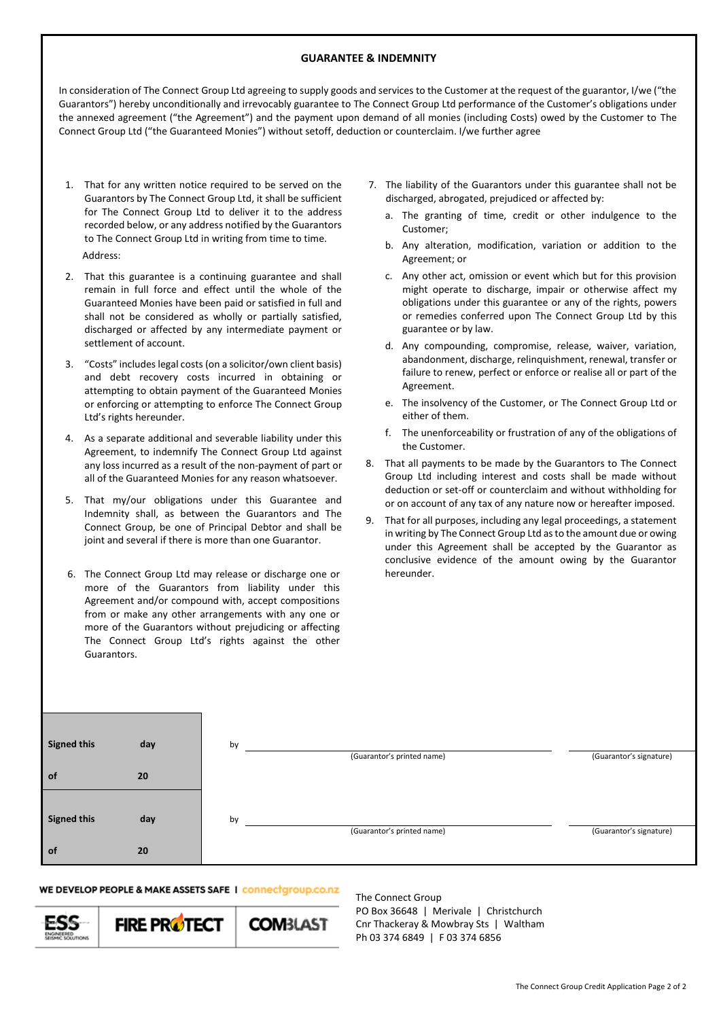## **GUARANTEE & INDEMNITY**

In consideration of The Connect Group Ltd agreeing to supply goods and services to the Customer at the request of the guarantor, I/we ("the Guarantors") hereby unconditionally and irrevocably guarantee to The Connect Group Ltd performance of the Customer's obligations under the annexed agreement ("the Agreement") and the payment upon demand of all monies (including Costs) owed by the Customer to The Connect Group Ltd ("the Guaranteed Monies") without setoff, deduction or counterclaim. I/we further agree

- 1. That for any written notice required to be served on the Guarantors by The Connect Group Ltd, it shall be sufficient for The Connect Group Ltd to deliver it to the address recorded below, or any address notified by the Guarantors to The Connect Group Ltd in writing from time to time. Address:
- 2. That this guarantee is a continuing guarantee and shall remain in full force and effect until the whole of the Guaranteed Monies have been paid or satisfied in full and shall not be considered as wholly or partially satisfied, discharged or affected by any intermediate payment or settlement of account.
- 3. "Costs" includes legal costs (on a solicitor/own client basis) and debt recovery costs incurred in obtaining or attempting to obtain payment of the Guaranteed Monies or enforcing or attempting to enforce The Connect Group Ltd's rights hereunder.
- 4. As a separate additional and severable liability under this Agreement, to indemnify The Connect Group Ltd against any loss incurred as a result of the non-payment of part or all of the Guaranteed Monies for any reason whatsoever.
- 5. That my/our obligations under this Guarantee and Indemnity shall, as between the Guarantors and The Connect Group, be one of Principal Debtor and shall be joint and several if there is more than one Guarantor.
- 6. The Connect Group Ltd may release or discharge one or more of the Guarantors from liability under this Agreement and/or compound with, accept compositions from or make any other arrangements with any one or more of the Guarantors without prejudicing or affecting The Connect Group Ltd's rights against the other Guarantors.
- 7. The liability of the Guarantors under this guarantee shall not be discharged, abrogated, prejudiced or affected by:
	- a. The granting of time, credit or other indulgence to the Customer;
	- b. Any alteration, modification, variation or addition to the Agreement; or
	- c. Any other act, omission or event which but for this provision might operate to discharge, impair or otherwise affect my obligations under this guarantee or any of the rights, powers or remedies conferred upon The Connect Group Ltd by this guarantee or by law.
	- d. Any compounding, compromise, release, waiver, variation, abandonment, discharge, relinquishment, renewal, transfer or failure to renew, perfect or enforce or realise all or part of the Agreement.
	- e. The insolvency of the Customer, or The Connect Group Ltd or either of them.
	- f. The unenforceability or frustration of any of the obligations of the Customer.
- 8. That all payments to be made by the Guarantors to The Connect Group Ltd including interest and costs shall be made without deduction or set-off or counterclaim and without withholding for or on account of any tax of any nature now or hereafter imposed.
- 9. That for all purposes, including any legal proceedings, a statement in writing by The Connect Group Ltd as to the amount due or owing under this Agreement shall be accepted by the Guarantor as conclusive evidence of the amount owing by the Guarantor hereunder.

| Signed this                 | day | by | (Guarantor's printed name) | (Guarantor's signature) |
|-----------------------------|-----|----|----------------------------|-------------------------|
| 0f                          | 20  |    |                            |                         |
|                             |     |    |                            |                         |
| Signed this                 | day | by |                            |                         |
|                             |     |    | (Guarantor's printed name) | (Guarantor's signature) |
| $\overline{\phantom{a}}$ of | 20  |    |                            |                         |

## WE DEVELOP PEOPLE & MAKE ASSETS SAFE | connectgroup.co.nz



The Connect Group PO Box 36648 | Merivale | Christchurch Cnr Thackeray & Mowbray Sts | Waltham Ph 03 374 6849 | F 03 374 6856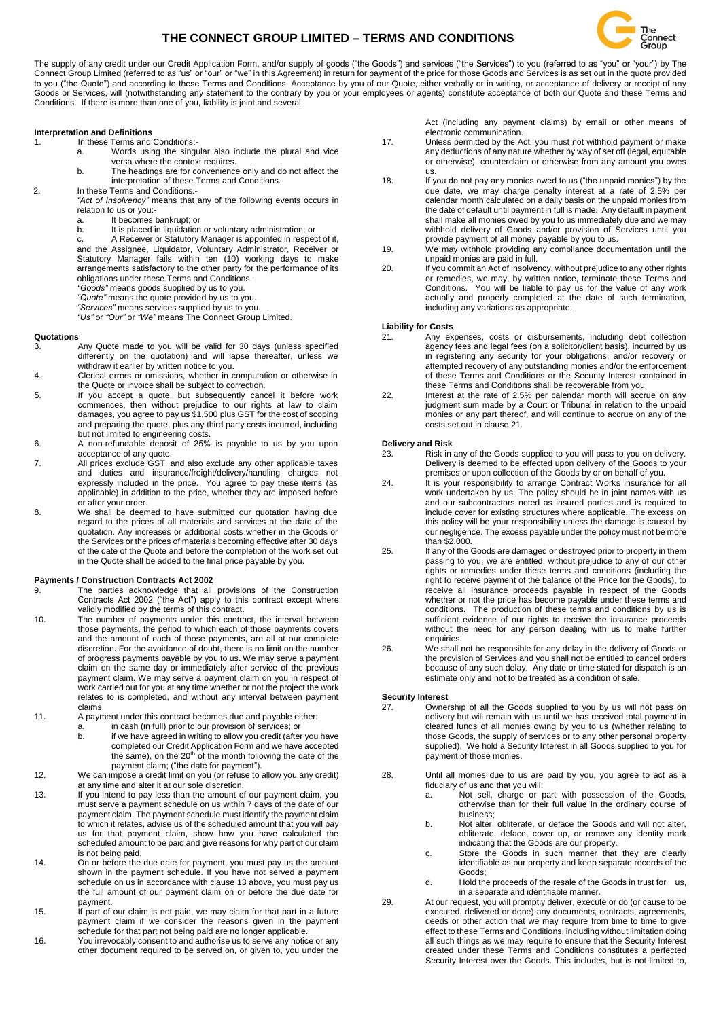# **THE CONNECT GROUP LIMITED – TERMS AND CONDITIONS**



The supply of any credit under our Credit Application Form, and/or supply of goods ("the Goods") and services ("the Services") to you (referred to as "you" or "your") by The Connect Group Limited (referred to as "us" or "our" or "we" in this Agreement) in return for payment of the price for those Goods and Services is as set out in the quote provided to you ("the Quote") and according to these Terms and Conditions. Acceptance by you of our Quote, either verbally or in writing, or acceptance of delivery or receipt of any Goods or Services, will (notwithstanding any statement to the contrary by you or your employees or agents) constitute acceptance of both our Quote and these Terms and Conditions. If there is more than one of you, liability is joint and several.

### **Interpretation and Definitions**

1. In these Terms and Conditions:-

- a. Words using the singular also include the plural and vice versa where the context requires.
- b. The headings are for convenience only and do not affect the interpretation of these Terms and Conditions.
- 2. In these Terms and Conditions*:-*
	- *"Act of Insolvency"* means that any of the following events occurs in relation to us or you:
		- a. It becomes bankrupt; or<br>b It is placed in liquidation
			- It is placed in liquidation or voluntary administration; or
	- c. A Receiver or Statutory Manager is appointed in respect of it, and the Assignee, Liquidator, Voluntary Administrator, Receiver or Statutory Manager fails within ten (10) working days to make arrangements satisfactory to the other party for the performance of its obligations under these Terms and Conditions. *"Goods"* means goods supplied by us to you.
	-
	- *"Quote"* means the quote provided by us to you.
	- *"Services"* means services supplied by us to you. *"Us"* or *"Our"* or *"We"* means The Connect Group Limited.

# **Quotations**

- Any Quote made to you will be valid for 30 days (unless specified differently on the quotation) and will lapse thereafter, unless we withdraw it earlier by written notice to you.
- 4. Clerical errors or omissions, whether in computation or otherwise in the Quote or invoice shall be subject to correction.
- 5. If you accept a quote, but subsequently cancel it before work commences, then without prejudice to our rights at law to claim damages, you agree to pay us \$1,500 plus GST for the cost of scoping and preparing the quote, plus any third party costs incurred, including but not limited to engineering costs.
- 6. A non-refundable deposit of 25% is payable to us by you upon acceptance of any quote.
- 7. All prices exclude GST, and also exclude any other applicable taxes and duties and insurance/freight/delivery/handling charges not expressly included in the price. You agree to pay these items (as applicable) in addition to the price, whether they are imposed before or after your order.
- 8. We shall be deemed to have submitted our quotation having due regard to the prices of all materials and services at the date of the quotation. Any increases or additional costs whether in the Goods or the Services or the prices of materials becoming effective after 30 days of the date of the Quote and before the completion of the work set out in the Quote shall be added to the final price payable by you.

#### **Payments / Construction Contracts Act 2002**

- 9. The parties acknowledge that all provisions of the Construction Contracts Act 2002 ("the Act") apply to this contract except where validly modified by the terms of this contract.
- 10. The number of payments under this contract, the interval between those payments, the period to which each of those payments covers and the amount of each of those payments, are all at our complete discretion. For the avoidance of doubt, there is no limit on the number of progress payments payable by you to us. We may serve a payment claim on the same day or immediately after service of the previous payment claim. We may serve a payment claim on you in respect of work carried out for you at any time whether or not the project the work relates to is completed, and without any interval between payment claims.
- 11. A payment under this contract becomes due and payable either:
	- a. in cash (in full) prior to our provision of services; or b. if we have agreed in writing to allow you credit (after you have completed our Credit Application Form and we have accepted the same), on the 20<sup>th</sup> of the month following the date of the payment claim; ("the date for payment").
- 12. We can impose a credit limit on you (or refuse to allow you any credit) at any time and alter it at our sole discretion.
- 13. If you intend to pay less than the amount of our payment claim, you must serve a payment schedule on us within 7 days of the date of our payment claim. The payment schedule must identify the payment claim to which it relates, advise us of the scheduled amount that you will pay us for that payment claim, show how you have calculated the scheduled amount to be paid and give reasons for why part of our claim is not being paid.
- 14. On or before the due date for payment, you must pay us the amount shown in the payment schedule. If you have not served a payment schedule on us in accordance with clause 13 above, you must pay us the full amount of our payment claim on or before the due date for payment.
- 15. If part of our claim is not paid, we may claim for that part in a future payment claim if we consider the reasons given in the payment schedule for that part not being paid are no longer applicable.
- 16. You irrevocably consent to and authorise us to serve any notice or any other document required to be served on, or given to, you under the

Act (including any payment claims) by email or other means of electronic communication.

- 17. Unless permitted by the Act, you must not withhold payment or make any deductions of any nature whether by way of set off (legal, equitable or otherwise), counterclaim or otherwise from any amount you owes us.
- 18. If you do not pay any monies owed to us ("the unpaid monies") by the due date, we may charge penalty interest at a rate of 2.5% per calendar month calculated on a daily basis on the unpaid monies from the date of default until payment in full is made. Any default in payment shall make all monies owed by you to us immediately due and we may withhold delivery of Goods and/or provision of Services until you provide payment of all money payable by you to us.
- 19. We may withhold providing any compliance documentation until the unpaid monies are paid in full.
- 20. If you commit an Act of Insolvency, without prejudice to any other rights or remedies, we may, by written notice, terminate these Terms and Conditions. You will be liable to pay us for the value of any work actually and properly completed at the date of such termination, including any variations as appropriate.

#### **Liability for Costs**

- Any expenses, costs or disbursements, including debt collection agency fees and legal fees (on a solicitor/client basis), incurred by us in registering any security for your obligations, and/or recovery or attempted recovery of any outstanding monies and/or the enforcement of these Terms and Conditions or the Security Interest contained in these Terms and Conditions shall be recoverable from you.
- 22. Interest at the rate of 2.5% per calendar month will accrue on any judgment sum made by a Court or Tribunal in relation to the unpaid monies or any part thereof, and will continue to accrue on any of the costs set out in clause 21.

#### **Delivery and Risk**

- 23. Risk in any of the Goods supplied to you will pass to you on delivery. Delivery is deemed to be effected upon delivery of the Goods to your premises or upon collection of the Goods by or on behalf of you.
- 24. It is your responsibility to arrange Contract Works insurance for all work undertaken by us. The policy should be in joint names with us and our subcontractors noted as insured parties and is required to include cover for existing structures where applicable. The excess on this policy will be your responsibility unless the damage is caused by our negligence. The excess payable under the policy must not be more than \$2,000.
- 25. If any of the Goods are damaged or destroyed prior to property in them passing to you, we are entitled, without prejudice to any of our other rights or remedies under these terms and conditions (including the right to receive payment of the balance of the Price for the Goods), to receive all insurance proceeds payable in respect of the Goods whether or not the price has become payable under these terms and conditions. The production of these terms and conditions by us is sufficient evidence of our rights to receive the insurance proceeds without the need for any person dealing with us to make further enquiries.
- 26. We shall not be responsible for any delay in the delivery of Goods or the provision of Services and you shall not be entitled to cancel orders because of any such delay. Any date or time stated for dispatch is an estimate only and not to be treated as a condition of sale.

### **Security Interest**

- Ownership of all the Goods supplied to you by us will not pass on delivery but will remain with us until we has received total payment in cleared funds of all monies owing by you to us (whether relating to those Goods, the supply of services or to any other personal property supplied). We hold a Security Interest in all Goods supplied to you for payment of those monies.
- 28. Until all monies due to us are paid by you, you agree to act as a fiduciary of us and that you will:
	- a. Not sell, charge or part with possession of the Goods, otherwise than for their full value in the ordinary course of business;
	- b. Not alter, obliterate, or deface the Goods and will not alter, obliterate, deface, cover up, or remove any identity mark indicating that the Goods are our property.
	- c. Store the Goods in such manner that they are clearly identifiable as our property and keep separate records of the Goods;
	- d. Hold the proceeds of the resale of the Goods in trust for us, in a separate and identifiable manner.
- 29. At our request, you will promptly deliver, execute or do (or cause to be executed, delivered or done) any documents, contracts, agreements, deeds or other action that we may require from time to time to give effect to these Terms and Conditions, including without limitation doing all such things as we may require to ensure that the Security Interest created under these Terms and Conditions constitutes a perfected Security Interest over the Goods. This includes, but is not limited to,